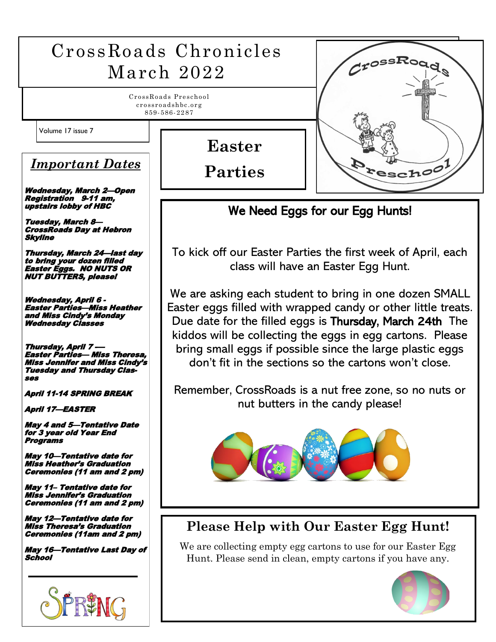#### CrossRoads Chronicles CrossR March 2022 CrossRoads Preschool crossroadshbc.org 859- 586- 22 87 Volume 17 issue 7  $\mathcal{L}$  **Easter**  *Important Dates* **Peschoo Parties** Wednesday, March 2—Open Registration 9-11 am, upstairs lobby of HBC We Need Eggs for our Egg Hunts! Tuesday, March 8— CrossRoads Day at Hebron Skyline To kick off our Easter Parties the first week of April, each Thursday, March 24—last day to bring your dozen filled class will have an Easter Egg Hunt. Easter Eggs. NO NUTS OR NUT BUTTERS, please! We are asking each student to bring in one dozen SMALL Wednesday, April 6 - Easter Parties—Miss Heather Easter eggs filled with wrapped candy or other little treats. and Miss Cindy's Monday Due date for the filled eggs is Thursday, March 24th The Wednesday Classes kiddos will be collecting the eggs in egg cartons. Please Thursday, April 7bring small eggs if possible since the large plastic eggs Easter Parties— Miss Theresa, don't fit in the sections so the cartons won't close. Miss Jennifer and Miss Cindy'<sup>s</sup> Tuesday and Thursday Classes Remember, CrossRoads is a nut free zone, so no nuts or April 11-14 SPRING BREAK nut butters in the candy please! April 17—EASTER May 4 and 5—Tentative Date for 3 year old Year End Programs May 10—Tentative date for Miss Heather's Graduation Ceremonies (11 am and 2 pm) May 11– Tentative date for Miss Jennifer's Graduation Ceremonies (11 am and 2 pm) May 12—Tentative date for **Please Help with Our Easter Egg Hunt!** Miss Theresa's Graduation Ceremonies (11am and 2 pm) We are collecting empty egg cartons to use for our Easter Egg May 16—Tentative Last Day of School Hunt. Please send in clean, empty cartons if you have any.